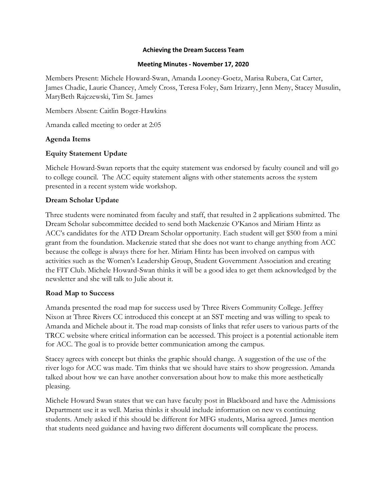#### **Achieving the Dream Success Team**

#### **Meeting Minutes - November 17, 2020**

Members Present: Michele Howard-Swan, Amanda Looney-Goetz, Marisa Rubera, Cat Carter, James Chadic, Laurie Chancey, Amely Cross, Teresa Foley, Sam Irizarry, Jenn Meny, Stacey Musulin, MaryBeth Rajczewski, Tim St. James

Members Absent: Caitlin Boger-Hawkins

Amanda called meeting to order at 2:05

## **Agenda Items**

## **Equity Statement Update**

Michele Howard-Swan reports that the equity statement was endorsed by faculty council and will go to college council. The ACC equity statement aligns with other statements across the system presented in a recent system wide workshop.

## **Dream Scholar Update**

Three students were nominated from faculty and staff, that resulted in 2 applications submitted. The Dream Scholar subcommittee decided to send both Mackenzie O'Kanos and Miriam Hintz as ACC's candidates for the ATD Dream Scholar opportunity. Each student will get \$500 from a mini grant from the foundation. Mackenzie stated that she does not want to change anything from ACC because the college is always there for her. Miriam Hintz has been involved on campus with activities such as the Women's Leadership Group, Student Government Association and creating the FIT Club. Michele Howard-Swan thinks it will be a good idea to get them acknowledged by the newsletter and she will talk to Julie about it.

### **Road Map to Success**

Amanda presented the road map for success used by Three Rivers Community College. Jeffrey Nixon at Three Rivers CC introduced this concept at an SST meeting and was willing to speak to Amanda and Michele about it. The road map consists of links that refer users to various parts of the TRCC website where critical information can be accessed. This project is a potential actionable item for ACC. The goal is to provide better communication among the campus.

Stacey agrees with concept but thinks the graphic should change. A suggestion of the use of the river logo for ACC was made. Tim thinks that we should have stairs to show progression. Amanda talked about how we can have another conversation about how to make this more aesthetically pleasing.

Michele Howard Swan states that we can have faculty post in Blackboard and have the Admissions Department use it as well. Marisa thinks it should include information on new vs continuing students. Amely asked if this should be different for MFG students, Marisa agreed. James mention that students need guidance and having two different documents will complicate the process.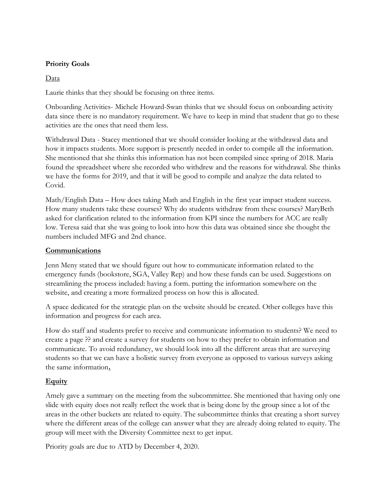## **Priority Goals**

## Data

Laurie thinks that they should be focusing on three items.

Onboarding Activities- Michele Howard-Swan thinks that we should focus on onboarding activity data since there is no mandatory requirement. We have to keep in mind that student that go to these activities are the ones that need them less.

Withdrawal Data - Stacey mentioned that we should consider looking at the withdrawal data and how it impacts students. More support is presently needed in order to compile all the information. She mentioned that she thinks this information has not been compiled since spring of 2018. Maria found the spreadsheet where she recorded who withdrew and the reasons for withdrawal. She thinks we have the forms for 2019, and that it will be good to compile and analyze the data related to Covid.

Math/English Data – How does taking Math and English in the first year impact student success. How many students take these courses? Why do students withdraw from these courses? MaryBeth asked for clarification related to the information from KPI since the numbers for ACC are really low. Teresa said that she was going to look into how this data was obtained since she thought the numbers included MFG and 2nd chance.

### **Communications**

Jenn Meny stated that we should figure out how to communicate information related to the emergency funds (bookstore, SGA, Valley Rep) and how these funds can be used. Suggestions on streamlining the process included: having a form. putting the information somewhere on the website, and creating a more formalized process on how this is allocated.

A space dedicated for the strategic plan on the website should be created. Other colleges have this information and progress for each area.

How do staff and students prefer to receive and communicate information to students? We need to create a page ?? and create a survey for students on how to they prefer to obtain information and communicate. To avoid redundancy, we should look into all the different areas that are surveying students so that we can have a holistic survey from everyone as opposed to various surveys asking the same information**.**

# **Equity**

Amely gave a summary on the meeting from the subcommittee. She mentioned that having only one slide with equity does not really reflect the work that is being done by the group since a lot of the areas in the other buckets are related to equity. The subcommittee thinks that creating a short survey where the different areas of the college can answer what they are already doing related to equity. The group will meet with the Diversity Committee next to get input.

Priority goals are due to ATD by December 4, 2020.